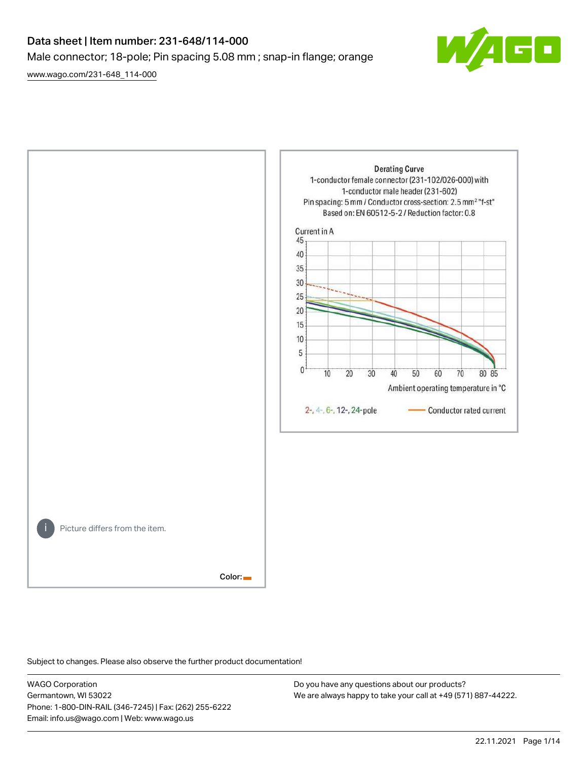# Data sheet | Item number: 231-648/114-000 Male connector; 18-pole; Pin spacing 5.08 mm ; snap-in flange; orange

[www.wago.com/231-648\\_114-000](http://www.wago.com/231-648_114-000)





Subject to changes. Please also observe the further product documentation!

WAGO Corporation Germantown, WI 53022 Phone: 1-800-DIN-RAIL (346-7245) | Fax: (262) 255-6222 Email: info.us@wago.com | Web: www.wago.us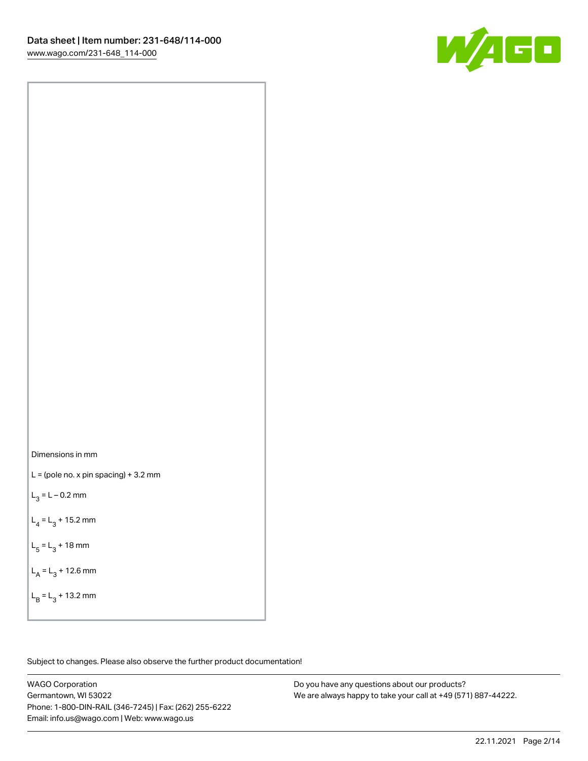

Dimensions in mm

 $L =$  (pole no. x pin spacing) + 3.2 mm

 $L_3 = L - 0.2$  mm

 $L_4 = L_3 + 15.2$  mm

 $L_5 = L_3 + 18$  mm

 $L_A = L_3 + 12.6$  mm

 $L_B = L_3 + 13.2$  mm

Subject to changes. Please also observe the further product documentation!

WAGO Corporation Germantown, WI 53022 Phone: 1-800-DIN-RAIL (346-7245) | Fax: (262) 255-6222 Email: info.us@wago.com | Web: www.wago.us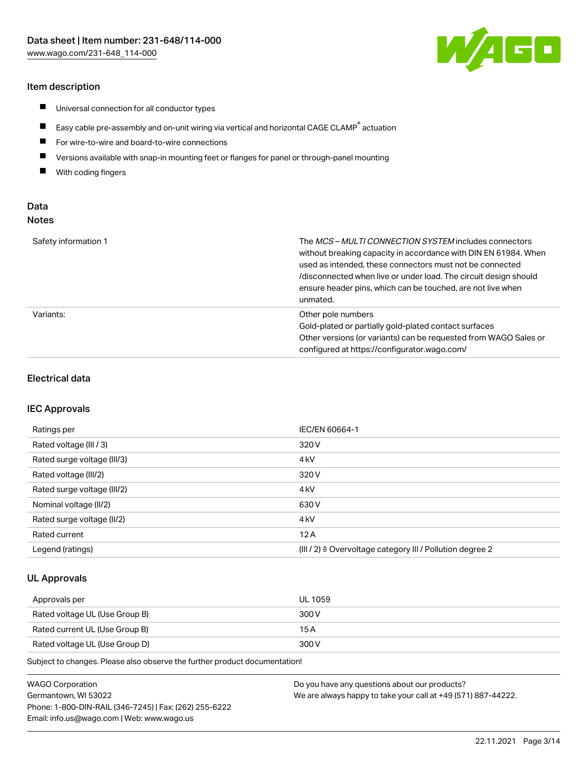# Item description

- $\blacksquare$ Universal connection for all conductor types
- $\blacksquare$ Easy cable pre-assembly and on-unit wiring via vertical and horizontal CAGE CLAMP<sup>®</sup> actuation
- $\blacksquare$ For wire-to-wire and board-to-wire connections
- $\blacksquare$ Versions available with snap-in mounting feet or flanges for panel or through-panel mounting
- $\blacksquare$ With coding fingers

# Data Notes

| Safety information 1 | The <i>MCS – MULTI CONNECTION SYSTEM</i> includes connectors<br>without breaking capacity in accordance with DIN EN 61984. When<br>used as intended, these connectors must not be connected<br>/disconnected when live or under load. The circuit design should<br>ensure header pins, which can be touched, are not live when<br>unmated. |
|----------------------|--------------------------------------------------------------------------------------------------------------------------------------------------------------------------------------------------------------------------------------------------------------------------------------------------------------------------------------------|
| Variants:            | Other pole numbers<br>Gold-plated or partially gold-plated contact surfaces<br>Other versions (or variants) can be requested from WAGO Sales or<br>configured at https://configurator.wago.com/                                                                                                                                            |

### Electrical data

#### IEC Approvals

| Ratings per                 | IEC/EN 60664-1                                                        |
|-----------------------------|-----------------------------------------------------------------------|
| Rated voltage (III / 3)     | 320 V                                                                 |
| Rated surge voltage (III/3) | 4 <sub>k</sub> V                                                      |
| Rated voltage (III/2)       | 320 V                                                                 |
| Rated surge voltage (III/2) | 4 <sub>k</sub> V                                                      |
| Nominal voltage (II/2)      | 630 V                                                                 |
| Rated surge voltage (II/2)  | 4 <sub>kV</sub>                                                       |
| Rated current               | 12A                                                                   |
| Legend (ratings)            | $(III / 2)$ $\triangle$ Overvoltage category III / Pollution degree 2 |

# UL Approvals

| Approvals per                  | UL 1059 |
|--------------------------------|---------|
| Rated voltage UL (Use Group B) | 300 V   |
| Rated current UL (Use Group B) | 15 A    |
| Rated voltage UL (Use Group D) | 300 V   |

Subject to changes. Please also observe the further product documentation!

| WAGO Corporation                                       | Do you have any questions about our products?                 |
|--------------------------------------------------------|---------------------------------------------------------------|
| Germantown, WI 53022                                   | We are always happy to take your call at +49 (571) 887-44222. |
| Phone: 1-800-DIN-RAIL (346-7245)   Fax: (262) 255-6222 |                                                               |
| Email: info.us@wago.com   Web: www.wago.us             |                                                               |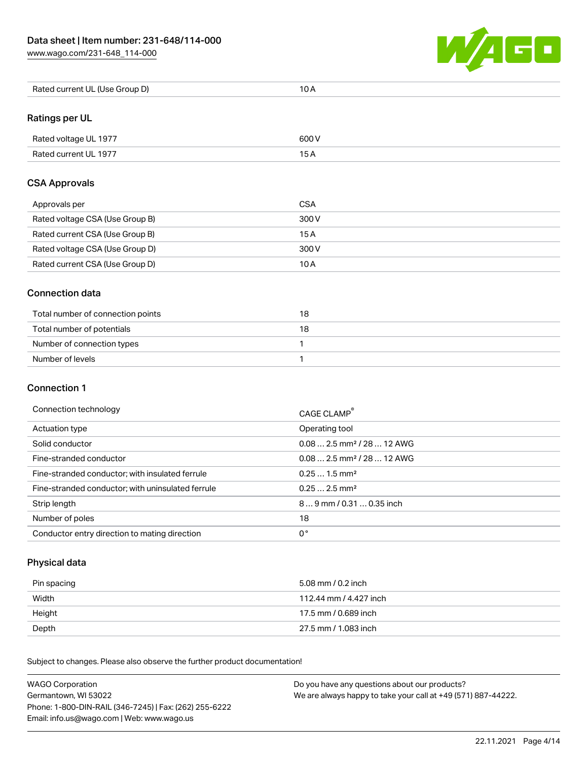[www.wago.com/231-648\\_114-000](http://www.wago.com/231-648_114-000)



| Rated current UL (Use Group D) | 10 A |
|--------------------------------|------|
|--------------------------------|------|

# Ratings per UL

| Rated voltage UL 1977 | 600 V |
|-----------------------|-------|
| Rated current UL 1977 |       |

# CSA Approvals

| Approvals per                   | <b>CSA</b> |
|---------------------------------|------------|
| Rated voltage CSA (Use Group B) | 300 V      |
| Rated current CSA (Use Group B) | 15 A       |
| Rated voltage CSA (Use Group D) | 300 V      |
| Rated current CSA (Use Group D) | 10 A       |

# Connection data

| Total number of connection points | 18 |
|-----------------------------------|----|
| Total number of potentials        | 18 |
| Number of connection types        |    |
| Number of levels                  |    |

# Connection 1

#### Connection technology CAGE CLAMP®

|                                                   | <b>CAGE CLAMP</b>                       |
|---------------------------------------------------|-----------------------------------------|
| Actuation type                                    | Operating tool                          |
| Solid conductor                                   | $0.08$ 2.5 mm <sup>2</sup> / 28  12 AWG |
| Fine-stranded conductor                           | $0.08$ 2.5 mm <sup>2</sup> / 28  12 AWG |
| Fine-stranded conductor; with insulated ferrule   | $0.251.5$ mm <sup>2</sup>               |
| Fine-stranded conductor; with uninsulated ferrule | $0.252.5$ mm <sup>2</sup>               |
| Strip length                                      | 89 mm / 0.31  0.35 inch                 |
| Number of poles                                   | 18                                      |
| Conductor entry direction to mating direction     | 0°                                      |

# Physical data

| Pin spacing | 5.08 mm / 0.2 inch     |
|-------------|------------------------|
| Width       | 112.44 mm / 4.427 inch |
| Height      | 17.5 mm / 0.689 inch   |
| Depth       | 27.5 mm / 1.083 inch   |

Subject to changes. Please also observe the further product documentation! Mechanical data

| <b>WAGO Corporation</b>                                | Do you have any questions about our products?                 |
|--------------------------------------------------------|---------------------------------------------------------------|
| Germantown, WI 53022                                   | We are always happy to take your call at +49 (571) 887-44222. |
| Phone: 1-800-DIN-RAIL (346-7245)   Fax: (262) 255-6222 |                                                               |
| Email: info.us@wago.com   Web: www.wago.us             |                                                               |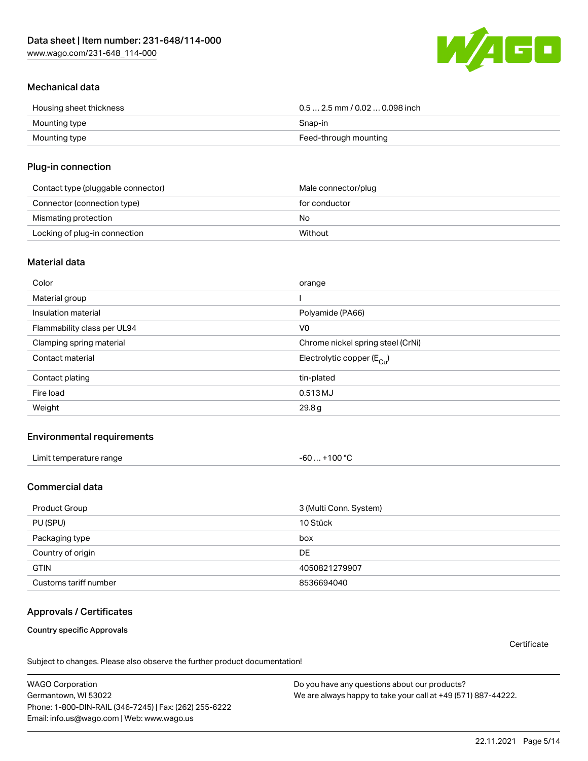[www.wago.com/231-648\\_114-000](http://www.wago.com/231-648_114-000)



# Mechanical data

| Housing sheet thickness | $0.5$ 2.5 mm / 0.02  0.098 inch |
|-------------------------|---------------------------------|
| Mounting type           | Snap-in                         |
| Mounting type           | Feed-through mounting           |

### Plug-in connection

| Contact type (pluggable connector) | Male connector/plug |
|------------------------------------|---------------------|
| Connector (connection type)        | for conductor       |
| Mismating protection               | No                  |
| Locking of plug-in connection      | Without             |

#### Material data

| Color                       | orange                                |
|-----------------------------|---------------------------------------|
| Material group              |                                       |
| Insulation material         | Polyamide (PA66)                      |
| Flammability class per UL94 | V <sub>0</sub>                        |
| Clamping spring material    | Chrome nickel spring steel (CrNi)     |
| Contact material            | Electrolytic copper $(E_{\text{Cl}})$ |
| Contact plating             | tin-plated                            |
| Fire load                   | 0.513 MJ                              |
| Weight                      | 29.8g                                 |

# Environmental requirements

| Limit temperature range<br>the contract of the contract of the contract of the contract of the contract of the contract of the contract of | .+100 °C<br>-60 |  |
|--------------------------------------------------------------------------------------------------------------------------------------------|-----------------|--|
|--------------------------------------------------------------------------------------------------------------------------------------------|-----------------|--|

# Commercial data

| Product Group         | 3 (Multi Conn. System) |
|-----------------------|------------------------|
| PU (SPU)              | 10 Stück               |
| Packaging type        | box                    |
| Country of origin     | DE                     |
| <b>GTIN</b>           | 4050821279907          |
| Customs tariff number | 8536694040             |

# Approvals / Certificates

Country specific Approvals

**Certificate** 

Subject to changes. Please also observe the further product documentation!

WAGO Corporation Germantown, WI 53022 Phone: 1-800-DIN-RAIL (346-7245) | Fax: (262) 255-6222 Email: info.us@wago.com | Web: www.wago.us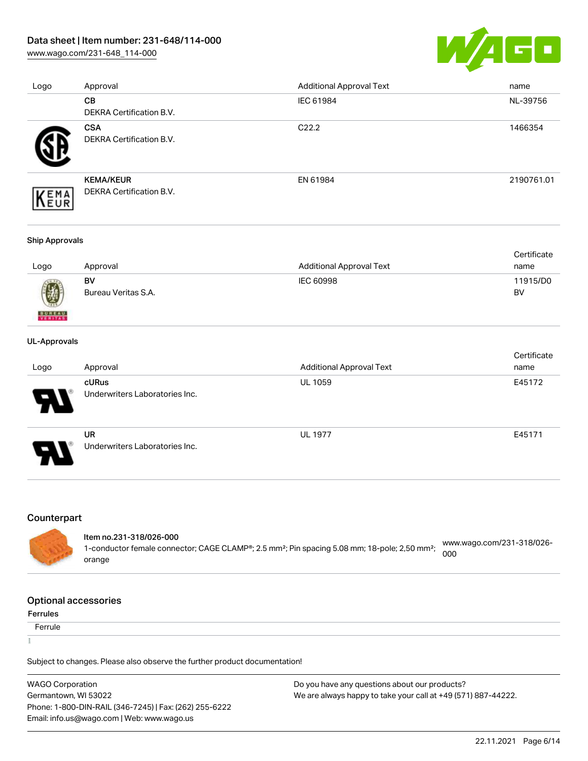[www.wago.com/231-648\\_114-000](http://www.wago.com/231-648_114-000)



| Logo | Approval                 | <b>Additional Approval Text</b> | name       |
|------|--------------------------|---------------------------------|------------|
|      | <b>CB</b>                | IEC 61984                       | NL-39756   |
|      | DEKRA Certification B.V. |                                 |            |
|      | <b>CSA</b>               | C <sub>22.2</sub>               | 1466354    |
|      | DEKRA Certification B.V. |                                 |            |
|      | <b>KEMA/KEUR</b>         | EN 61984                        | 2190761.01 |
| EMA  | DEKRA Certification B.V. |                                 |            |

#### Ship Approvals

|      |                     |                          | Certificate |
|------|---------------------|--------------------------|-------------|
| Logo | Approval            | Additional Approval Text | name        |
|      | BV                  | IEC 60998                | 11915/D0    |
| 0    | Bureau Veritas S.A. |                          | BV          |

#### UL-Approvals

**BUREAU** 

| Logo                       | Approval                                    | <b>Additional Approval Text</b> | Certificate<br>name |
|----------------------------|---------------------------------------------|---------------------------------|---------------------|
| $\boldsymbol{\mathcal{A}}$ | cURus<br>Underwriters Laboratories Inc.     | <b>UL 1059</b>                  | E45172              |
| 8                          | <b>UR</b><br>Underwriters Laboratories Inc. | <b>UL 1977</b>                  | E45171              |

# Counterpart

| Item no.231-318/026-000                                                                                               |                                  |
|-----------------------------------------------------------------------------------------------------------------------|----------------------------------|
| 1-conductor female connector; CAGE CLAMP®; 2.5 mm <sup>2</sup> ; Pin spacing 5.08 mm; 18-pole; 2,50 mm <sup>2</sup> ; | www.wago.com/231-318/026-<br>000 |
| orange                                                                                                                |                                  |

# Optional accessories

#### Ferrules

**Ferrule** 

ī

Subject to changes. Please also observe the further product documentation!

| <b>WAGO Corporation</b>                                | Do you have any questions about our products?                 |
|--------------------------------------------------------|---------------------------------------------------------------|
| Germantown, WI 53022                                   | We are always happy to take your call at +49 (571) 887-44222. |
| Phone: 1-800-DIN-RAIL (346-7245)   Fax: (262) 255-6222 |                                                               |
| Email: info.us@wago.com   Web: www.wago.us             |                                                               |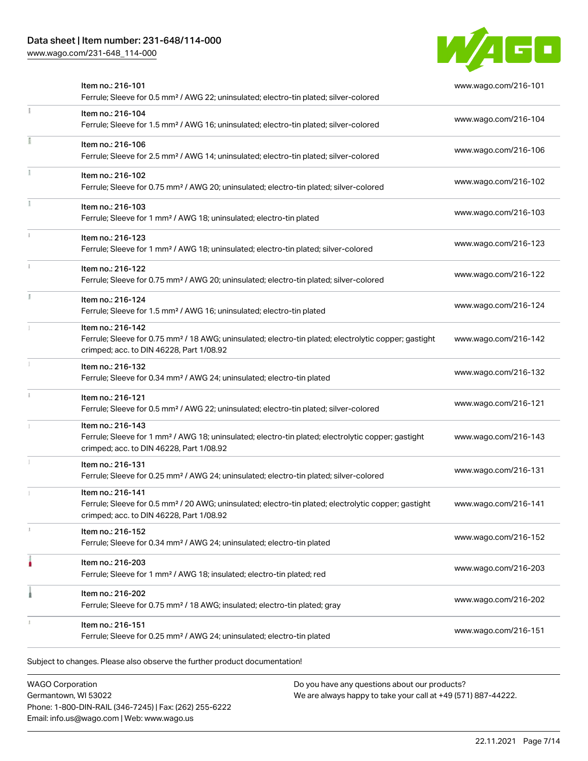[www.wago.com/231-648\\_114-000](http://www.wago.com/231-648_114-000)



| Item no.: 216-101<br>Ferrule; Sleeve for 0.5 mm <sup>2</sup> / AWG 22; uninsulated; electro-tin plated; silver-colored                                                             | www.wago.com/216-101 |
|------------------------------------------------------------------------------------------------------------------------------------------------------------------------------------|----------------------|
| Item no.: 216-104<br>Ferrule; Sleeve for 1.5 mm <sup>2</sup> / AWG 16; uninsulated; electro-tin plated; silver-colored                                                             | www.wago.com/216-104 |
| Item no.: 216-106<br>Ferrule; Sleeve for 2.5 mm <sup>2</sup> / AWG 14; uninsulated; electro-tin plated; silver-colored                                                             | www.wago.com/216-106 |
| Item no.: 216-102<br>Ferrule; Sleeve for 0.75 mm <sup>2</sup> / AWG 20; uninsulated; electro-tin plated; silver-colored                                                            | www.wago.com/216-102 |
| Item no.: 216-103<br>Ferrule; Sleeve for 1 mm <sup>2</sup> / AWG 18; uninsulated; electro-tin plated                                                                               | www.wago.com/216-103 |
| Item no.: 216-123<br>Ferrule; Sleeve for 1 mm <sup>2</sup> / AWG 18; uninsulated; electro-tin plated; silver-colored                                                               | www.wago.com/216-123 |
| Item no.: 216-122<br>Ferrule; Sleeve for 0.75 mm <sup>2</sup> / AWG 20; uninsulated; electro-tin plated; silver-colored                                                            | www.wago.com/216-122 |
| Item no.: 216-124<br>Ferrule; Sleeve for 1.5 mm <sup>2</sup> / AWG 16; uninsulated; electro-tin plated                                                                             | www.wago.com/216-124 |
| Item no.: 216-142<br>Ferrule; Sleeve for 0.75 mm <sup>2</sup> / 18 AWG; uninsulated; electro-tin plated; electrolytic copper; gastight<br>crimped; acc. to DIN 46228, Part 1/08.92 | www.wago.com/216-142 |
| Item no.: 216-132<br>Ferrule; Sleeve for 0.34 mm <sup>2</sup> / AWG 24; uninsulated; electro-tin plated                                                                            | www.wago.com/216-132 |
| Item no.: 216-121<br>Ferrule; Sleeve for 0.5 mm <sup>2</sup> / AWG 22; uninsulated; electro-tin plated; silver-colored                                                             | www.wago.com/216-121 |
| Item no.: 216-143<br>Ferrule; Sleeve for 1 mm <sup>2</sup> / AWG 18; uninsulated; electro-tin plated; electrolytic copper; gastight<br>crimped; acc. to DIN 46228, Part 1/08.92    | www.wago.com/216-143 |
| Item no.: 216-131<br>Ferrule; Sleeve for 0.25 mm <sup>2</sup> / AWG 24; uninsulated; electro-tin plated; silver-colored                                                            | www.wago.com/216-131 |
| Item no.: 216-141<br>Ferrule; Sleeve for 0.5 mm <sup>2</sup> / 20 AWG; uninsulated; electro-tin plated; electrolytic copper; gastight<br>crimped; acc. to DIN 46228, Part 1/08.92  | www.wago.com/216-141 |
| Item no.: 216-152<br>Ferrule; Sleeve for 0.34 mm <sup>2</sup> / AWG 24; uninsulated; electro-tin plated                                                                            | www.wago.com/216-152 |
| Item no.: 216-203<br>Ferrule; Sleeve for 1 mm <sup>2</sup> / AWG 18; insulated; electro-tin plated; red                                                                            | www.wago.com/216-203 |
| Item no.: 216-202<br>Ferrule; Sleeve for 0.75 mm <sup>2</sup> / 18 AWG; insulated; electro-tin plated; gray                                                                        | www.wago.com/216-202 |
| Item no.: 216-151<br>Ferrule; Sleeve for 0.25 mm <sup>2</sup> / AWG 24; uninsulated; electro-tin plated                                                                            | www.wago.com/216-151 |

WAGO Corporation Germantown, WI 53022 Phone: 1-800-DIN-RAIL (346-7245) | Fax: (262) 255-6222 Email: info.us@wago.com | Web: www.wago.us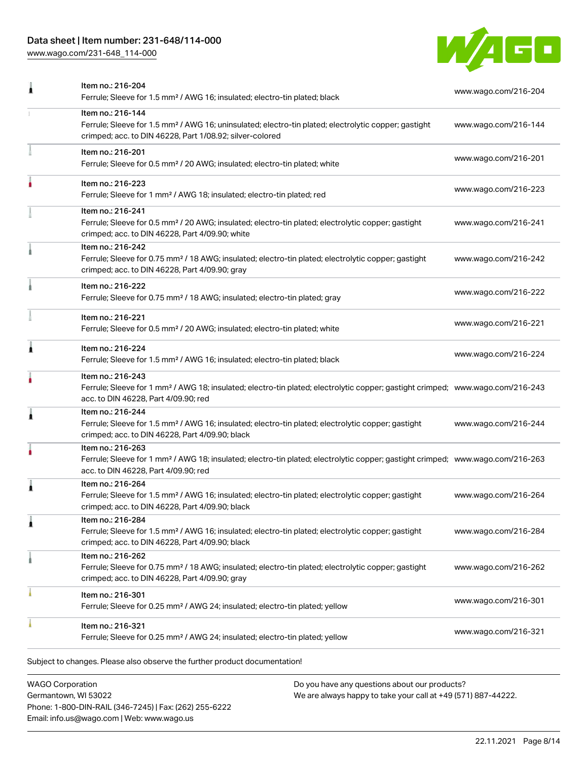[www.wago.com/231-648\\_114-000](http://www.wago.com/231-648_114-000)



| Item no.: 216-204<br>Ferrule; Sleeve for 1.5 mm <sup>2</sup> / AWG 16; insulated; electro-tin plated; black                                                                                             | www.wago.com/216-204 |
|---------------------------------------------------------------------------------------------------------------------------------------------------------------------------------------------------------|----------------------|
| Item no.: 216-144<br>Ferrule; Sleeve for 1.5 mm <sup>2</sup> / AWG 16; uninsulated; electro-tin plated; electrolytic copper; gastight<br>crimped; acc. to DIN 46228, Part 1/08.92; silver-colored       | www.wago.com/216-144 |
| Item no.: 216-201<br>Ferrule; Sleeve for 0.5 mm <sup>2</sup> / 20 AWG; insulated; electro-tin plated; white                                                                                             | www.wago.com/216-201 |
| Item no.: 216-223<br>Ferrule; Sleeve for 1 mm <sup>2</sup> / AWG 18; insulated; electro-tin plated; red                                                                                                 | www.wago.com/216-223 |
| Item no.: 216-241<br>Ferrule; Sleeve for 0.5 mm <sup>2</sup> / 20 AWG; insulated; electro-tin plated; electrolytic copper; gastight<br>crimped; acc. to DIN 46228, Part 4/09.90; white                  | www.wago.com/216-241 |
| Item no.: 216-242<br>Ferrule; Sleeve for 0.75 mm <sup>2</sup> / 18 AWG; insulated; electro-tin plated; electrolytic copper; gastight<br>crimped; acc. to DIN 46228, Part 4/09.90; gray                  | www.wago.com/216-242 |
| Item no.: 216-222<br>Ferrule; Sleeve for 0.75 mm <sup>2</sup> / 18 AWG; insulated; electro-tin plated; gray                                                                                             | www.wago.com/216-222 |
| Item no.: 216-221<br>Ferrule; Sleeve for 0.5 mm <sup>2</sup> / 20 AWG; insulated; electro-tin plated; white                                                                                             | www.wago.com/216-221 |
| Item no.: 216-224<br>Ferrule; Sleeve for 1.5 mm <sup>2</sup> / AWG 16; insulated; electro-tin plated; black                                                                                             | www.wago.com/216-224 |
| Item no.: 216-243<br>Ferrule; Sleeve for 1 mm <sup>2</sup> / AWG 18; insulated; electro-tin plated; electrolytic copper; gastight crimped; www.wago.com/216-243<br>acc. to DIN 46228, Part 4/09.90; red |                      |
| Item no.: 216-244<br>Ferrule; Sleeve for 1.5 mm <sup>2</sup> / AWG 16; insulated; electro-tin plated; electrolytic copper; gastight<br>crimped; acc. to DIN 46228, Part 4/09.90; black                  | www.wago.com/216-244 |
| Item no.: 216-263<br>Ferrule; Sleeve for 1 mm <sup>2</sup> / AWG 18; insulated; electro-tin plated; electrolytic copper; gastight crimped; www.wago.com/216-263<br>acc. to DIN 46228, Part 4/09.90; red |                      |
| Item no.: 216-264<br>Ferrule; Sleeve for 1.5 mm <sup>2</sup> / AWG 16; insulated; electro-tin plated; electrolytic copper; gastight<br>crimped; acc. to DIN 46228, Part 4/09.90; black                  | www.wago.com/216-264 |
| Item no.: 216-284<br>Ferrule; Sleeve for 1.5 mm <sup>2</sup> / AWG 16; insulated; electro-tin plated; electrolytic copper; gastight<br>crimped; acc. to DIN 46228, Part 4/09.90; black                  | www.wago.com/216-284 |
| Item no.: 216-262<br>Ferrule; Sleeve for 0.75 mm <sup>2</sup> / 18 AWG; insulated; electro-tin plated; electrolytic copper; gastight<br>crimped; acc. to DIN 46228, Part 4/09.90; gray                  | www.wago.com/216-262 |
| Item no.: 216-301<br>Ferrule; Sleeve for 0.25 mm <sup>2</sup> / AWG 24; insulated; electro-tin plated; yellow                                                                                           | www.wago.com/216-301 |
| Item no.: 216-321<br>Ferrule; Sleeve for 0.25 mm <sup>2</sup> / AWG 24; insulated; electro-tin plated; yellow                                                                                           | www.wago.com/216-321 |
|                                                                                                                                                                                                         |                      |

WAGO Corporation Germantown, WI 53022 Phone: 1-800-DIN-RAIL (346-7245) | Fax: (262) 255-6222 Email: info.us@wago.com | Web: www.wago.us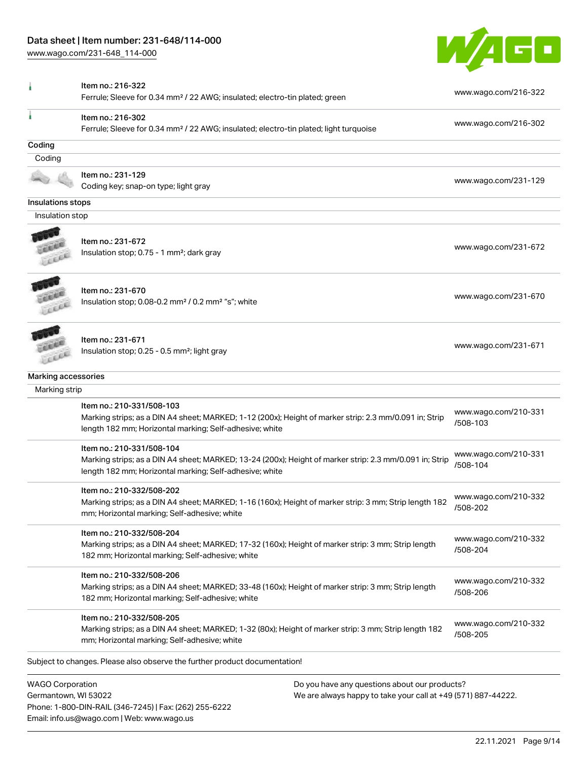Phone: 1-800-DIN-RAIL (346-7245) | Fax: (262) 255-6222

Email: info.us@wago.com | Web: www.wago.us

[www.wago.com/231-648\\_114-000](http://www.wago.com/231-648_114-000)



|                         | Item no.: 216-322                                                                                                                                                                               |                                                               |                                  |  |
|-------------------------|-------------------------------------------------------------------------------------------------------------------------------------------------------------------------------------------------|---------------------------------------------------------------|----------------------------------|--|
|                         | Ferrule; Sleeve for 0.34 mm <sup>2</sup> / 22 AWG; insulated; electro-tin plated; green                                                                                                         |                                                               | www.wago.com/216-322             |  |
|                         | Item no.: 216-302<br>Ferrule; Sleeve for 0.34 mm <sup>2</sup> / 22 AWG; insulated; electro-tin plated; light turquoise                                                                          |                                                               | www.wago.com/216-302             |  |
| Coding                  |                                                                                                                                                                                                 |                                                               |                                  |  |
| Coding                  |                                                                                                                                                                                                 |                                                               |                                  |  |
|                         | Item no.: 231-129                                                                                                                                                                               |                                                               |                                  |  |
|                         | Coding key; snap-on type; light gray                                                                                                                                                            |                                                               | www.wago.com/231-129             |  |
| Insulations stops       |                                                                                                                                                                                                 |                                                               |                                  |  |
| Insulation stop         |                                                                                                                                                                                                 |                                                               |                                  |  |
|                         | Item no.: 231-672<br>Insulation stop; 0.75 - 1 mm <sup>2</sup> ; dark gray                                                                                                                      |                                                               | www.wago.com/231-672             |  |
| Leer                    | Item no.: 231-670<br>Insulation stop; 0.08-0.2 mm <sup>2</sup> / 0.2 mm <sup>2</sup> "s"; white                                                                                                 |                                                               | www.wago.com/231-670             |  |
| LEEL                    | Item no.: 231-671<br>Insulation stop; 0.25 - 0.5 mm <sup>2</sup> ; light gray                                                                                                                   |                                                               | www.wago.com/231-671             |  |
| Marking accessories     |                                                                                                                                                                                                 |                                                               |                                  |  |
| Marking strip           |                                                                                                                                                                                                 |                                                               |                                  |  |
|                         | Item no.: 210-331/508-103<br>Marking strips; as a DIN A4 sheet; MARKED; 1-12 (200x); Height of marker strip: 2.3 mm/0.091 in; Strip<br>length 182 mm; Horizontal marking; Self-adhesive; white  |                                                               | www.wago.com/210-331<br>/508-103 |  |
|                         | Item no.: 210-331/508-104<br>Marking strips; as a DIN A4 sheet; MARKED; 13-24 (200x); Height of marker strip: 2.3 mm/0.091 in; Strip<br>length 182 mm; Horizontal marking; Self-adhesive; white |                                                               | www.wago.com/210-331<br>/508-104 |  |
|                         | Item no.: 210-332/508-202<br>Marking strips; as a DIN A4 sheet; MARKED; 1-16 (160x); Height of marker strip: 3 mm; Strip length 182<br>mm; Horizontal marking; Self-adhesive; white             |                                                               | www.wago.com/210-332<br>/508-202 |  |
|                         | Item no.: 210-332/508-204<br>Marking strips; as a DIN A4 sheet; MARKED; 17-32 (160x); Height of marker strip: 3 mm; Strip length<br>182 mm; Horizontal marking; Self-adhesive; white            |                                                               | www.wago.com/210-332<br>/508-204 |  |
|                         | Item no.: 210-332/508-206<br>Marking strips; as a DIN A4 sheet; MARKED; 33-48 (160x); Height of marker strip: 3 mm; Strip length<br>182 mm; Horizontal marking; Self-adhesive; white            |                                                               | www.wago.com/210-332<br>/508-206 |  |
|                         | Item no.: 210-332/508-205<br>Marking strips; as a DIN A4 sheet; MARKED; 1-32 (80x); Height of marker strip: 3 mm; Strip length 182<br>mm; Horizontal marking; Self-adhesive; white              |                                                               | www.wago.com/210-332<br>/508-205 |  |
|                         | Subject to changes. Please also observe the further product documentation!                                                                                                                      |                                                               |                                  |  |
| <b>WAGO Corporation</b> |                                                                                                                                                                                                 | Do you have any questions about our products?                 |                                  |  |
| Germantown, WI 53022    |                                                                                                                                                                                                 | We are always happy to take your call at +49 (571) 887-44222. |                                  |  |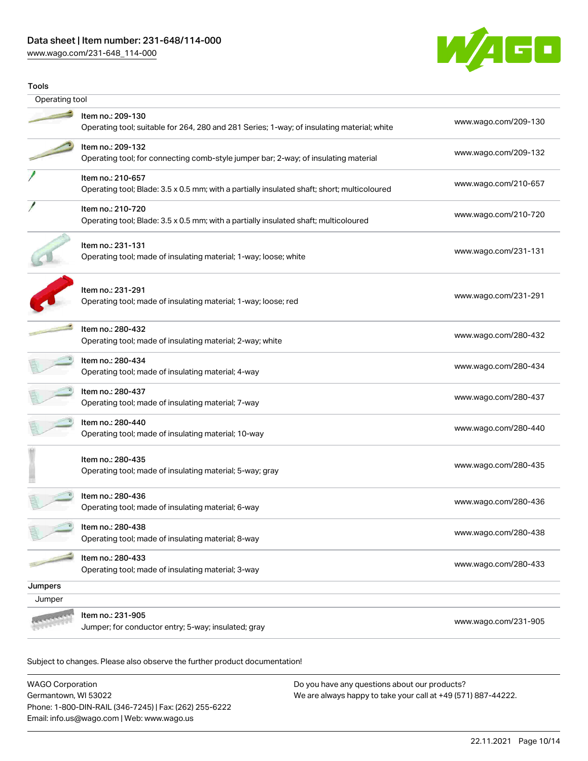[www.wago.com/231-648\\_114-000](http://www.wago.com/231-648_114-000)



| <b>Tools</b>   |                                                                                                                  |                      |  |  |  |  |
|----------------|------------------------------------------------------------------------------------------------------------------|----------------------|--|--|--|--|
| Operating tool |                                                                                                                  |                      |  |  |  |  |
|                | Item no.: 209-130<br>Operating tool; suitable for 264, 280 and 281 Series; 1-way; of insulating material; white  | www.wago.com/209-130 |  |  |  |  |
|                | Item no.: 209-132<br>Operating tool; for connecting comb-style jumper bar; 2-way; of insulating material         | www.wago.com/209-132 |  |  |  |  |
|                | Item no.: 210-657<br>Operating tool; Blade: 3.5 x 0.5 mm; with a partially insulated shaft; short; multicoloured | www.wago.com/210-657 |  |  |  |  |
|                | Item no.: 210-720<br>Operating tool; Blade: 3.5 x 0.5 mm; with a partially insulated shaft; multicoloured        | www.wago.com/210-720 |  |  |  |  |
|                | Item no.: 231-131<br>Operating tool; made of insulating material; 1-way; loose; white                            | www.wago.com/231-131 |  |  |  |  |
|                | Item no.: 231-291<br>Operating tool; made of insulating material; 1-way; loose; red                              | www.wago.com/231-291 |  |  |  |  |
|                | Item no.: 280-432<br>Operating tool; made of insulating material; 2-way; white                                   | www.wago.com/280-432 |  |  |  |  |
|                | Item no.: 280-434<br>Operating tool; made of insulating material; 4-way                                          | www.wago.com/280-434 |  |  |  |  |
|                | Item no.: 280-437<br>Operating tool; made of insulating material; 7-way                                          | www.wago.com/280-437 |  |  |  |  |
|                | Item no.: 280-440<br>Operating tool; made of insulating material; 10-way                                         | www.wago.com/280-440 |  |  |  |  |
|                | Item no.: 280-435<br>Operating tool; made of insulating material; 5-way; gray                                    | www.wago.com/280-435 |  |  |  |  |
|                | Item no.: 280-436<br>Operating tool; made of insulating material; 6-way                                          | www.wago.com/280-436 |  |  |  |  |
|                | Item no.: 280-438<br>Operating tool; made of insulating material; 8-way                                          | www.wago.com/280-438 |  |  |  |  |
|                | Item no.: 280-433<br>Operating tool; made of insulating material; 3-way                                          | www.wago.com/280-433 |  |  |  |  |
| Jumpers        |                                                                                                                  |                      |  |  |  |  |
| Jumper         |                                                                                                                  |                      |  |  |  |  |
|                | Item no.: 231-905<br>Jumper; for conductor entry; 5-way; insulated; gray                                         | www.wago.com/231-905 |  |  |  |  |

Subject to changes. Please also observe the further product documentation!

WAGO Corporation Germantown, WI 53022 Phone: 1-800-DIN-RAIL (346-7245) | Fax: (262) 255-6222 Email: info.us@wago.com | Web: www.wago.us Do you have any questions about our products? We are always happy to take your call at +49 (571) 887-44222.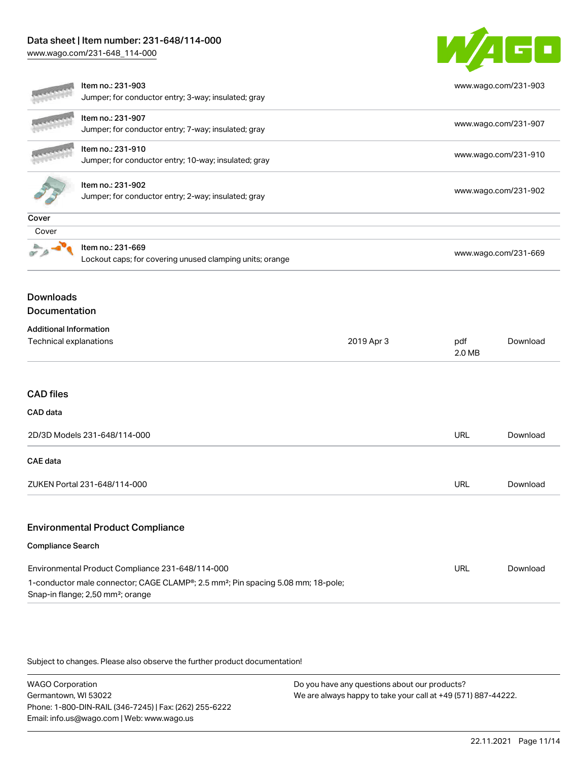[www.wago.com/231-648\\_114-000](http://www.wago.com/231-648_114-000)



|                                                                                                                                                                                                   | Item no.: 231-903<br>Jumper; for conductor entry; 3-way; insulated; gray      |            |               | www.wago.com/231-903 |  |
|---------------------------------------------------------------------------------------------------------------------------------------------------------------------------------------------------|-------------------------------------------------------------------------------|------------|---------------|----------------------|--|
|                                                                                                                                                                                                   | Item no.: 231-907<br>Jumper; for conductor entry; 7-way; insulated; gray      |            |               | www.wago.com/231-907 |  |
|                                                                                                                                                                                                   | Item no.: 231-910<br>Jumper; for conductor entry; 10-way; insulated; gray     |            |               | www.wago.com/231-910 |  |
|                                                                                                                                                                                                   | Item no.: 231-902<br>Jumper; for conductor entry; 2-way; insulated; gray      |            |               | www.wago.com/231-902 |  |
| Cover                                                                                                                                                                                             |                                                                               |            |               |                      |  |
| Cover                                                                                                                                                                                             |                                                                               |            |               |                      |  |
|                                                                                                                                                                                                   | Item no.: 231-669<br>Lockout caps; for covering unused clamping units; orange |            |               | www.wago.com/231-669 |  |
| <b>Downloads</b><br>Documentation                                                                                                                                                                 |                                                                               |            |               |                      |  |
| <b>Additional Information</b>                                                                                                                                                                     |                                                                               |            |               |                      |  |
| Technical explanations                                                                                                                                                                            |                                                                               | 2019 Apr 3 | pdf<br>2.0 MB | Download             |  |
| <b>CAD files</b>                                                                                                                                                                                  |                                                                               |            |               |                      |  |
| CAD data                                                                                                                                                                                          |                                                                               |            |               |                      |  |
| 2D/3D Models 231-648/114-000                                                                                                                                                                      |                                                                               | URL        | Download      |                      |  |
| <b>CAE</b> data                                                                                                                                                                                   |                                                                               |            |               |                      |  |
| ZUKEN Portal 231-648/114-000                                                                                                                                                                      |                                                                               |            | URL           | Download             |  |
|                                                                                                                                                                                                   | <b>Environmental Product Compliance</b>                                       |            |               |                      |  |
| <b>Compliance Search</b>                                                                                                                                                                          |                                                                               |            |               |                      |  |
| Environmental Product Compliance 231-648/114-000<br>1-conductor male connector; CAGE CLAMP®; 2.5 mm <sup>2</sup> ; Pin spacing 5.08 mm; 18-pole;<br>Snap-in flange; 2,50 mm <sup>2</sup> ; orange |                                                                               |            | <b>URL</b>    | Download             |  |

Subject to changes. Please also observe the further product documentation!

WAGO Corporation Germantown, WI 53022 Phone: 1-800-DIN-RAIL (346-7245) | Fax: (262) 255-6222 Email: info.us@wago.com | Web: www.wago.us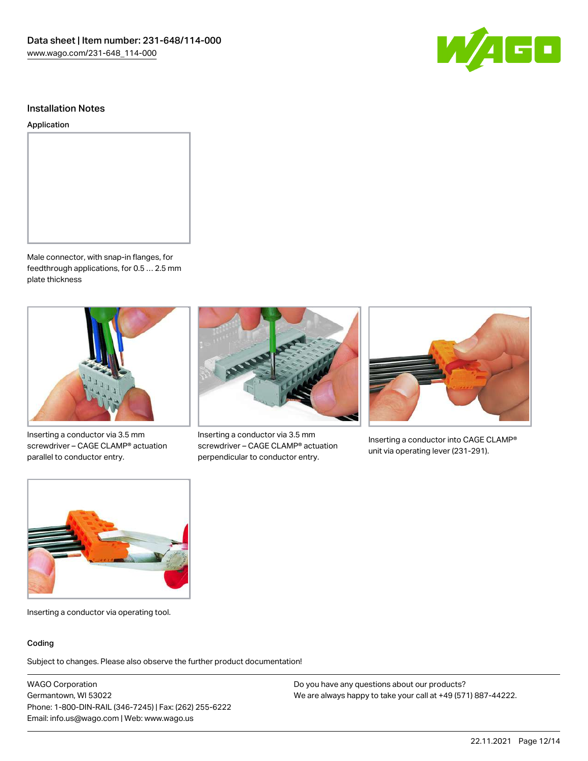

#### Installation Notes

#### Application



Male connector, with snap-in flanges, for feedthrough applications, for 0.5 … 2.5 mm plate thickness



Inserting a conductor via 3.5 mm screwdriver – CAGE CLAMP® actuation parallel to conductor entry.



Inserting a conductor via 3.5 mm screwdriver – CAGE CLAMP® actuation perpendicular to conductor entry.



Inserting a conductor into CAGE CLAMP® unit via operating lever (231-291).



Inserting a conductor via operating tool.

#### Coding

Subject to changes. Please also observe the further product documentation!

WAGO Corporation Germantown, WI 53022 Phone: 1-800-DIN-RAIL (346-7245) | Fax: (262) 255-6222 Email: info.us@wago.com | Web: www.wago.us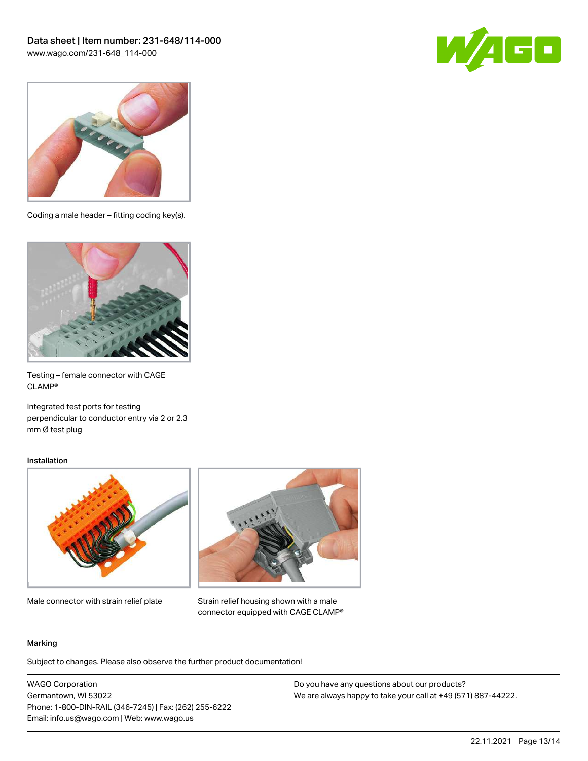



Coding a male header – fitting coding key(s).



Testing – female connector with CAGE CLAMP®

Integrated test ports for testing perpendicular to conductor entry via 2 or 2.3 mm Ø test plug

#### Installation



Male connector with strain relief plate



Strain relief housing shown with a male connector equipped with CAGE CLAMP®

#### Marking

Subject to changes. Please also observe the further product documentation!

WAGO Corporation Germantown, WI 53022 Phone: 1-800-DIN-RAIL (346-7245) | Fax: (262) 255-6222 Email: info.us@wago.com | Web: www.wago.us